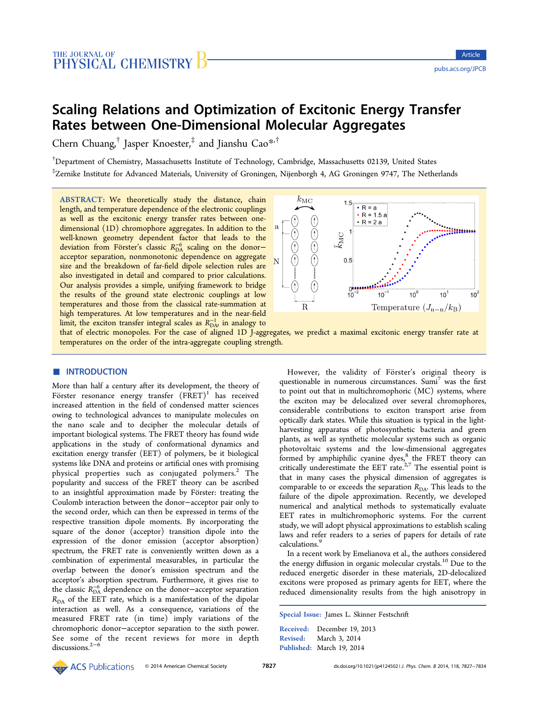# Scaling Relations and Optimization of Excitonic Energy Transfer Rates between One-Dimensional Molecular Aggregates

Chern Chuang,<sup>†</sup> Jasper Knoester,<sup>‡</sup> and Jianshu Cao<sup>\*,†</sup>

† Department of Chemistry, Massachusetts Institute of Technolo[gy,](#page-6-0) Cambridge, Massachusetts 02139, United States ‡ Zernike Institute for Advanced Materials, University of Groningen, Nijenborgh 4, AG Groningen 9747, The Netherlands

ABSTRACT: We theoretically study the distance, chain length, and temperature dependence of the electronic couplings as well as the excitonic energy transfer rates between onedimensional (1D) chromophore aggregates. In addition to the well-known geometry dependent factor that leads to the deviation from Förster's classic  $R_{\text{DA}}^{-6}$  scaling on the donoracceptor separation, nonmonotonic dependence on aggregate size and the breakdown of far-field dipole selection rules are also investigated in detail and compared to prior calculations. Our analysis provides a simple, unifying framework to bridge the results of the ground state electronic couplings at low temperatures and those from the classical rate-summation at high temperatures. At low temperatures and in the near-field  $\lim$ it, the exciton transfer integral scales as  $R_{\text{DA}}^{-1}$  in analogy to



that of electric monopoles. For the case of aligned 1D J-aggregates, we predict a maximal excitonic energy transfer rate at temperatures on the order of the intra-aggregate coupling strength.

# ■ INTRODUCTION

More than half a century after its development, the theory of Förster resonance energy transfer  $(\widehat{\text{FRET}})^1$  has received increased attention in the field of condensed matter sciences owing to technological advances to manipula[te](#page-6-0) molecules on the nano scale and to decipher the molecular details of important biological systems. The FRET theory has found wide applications in the study of conformational dynamics and excitation energy transfer (EET) of polymers, be it biological systems like DNA and proteins or artificial ones with promising physical properties such as conjugated polymers.<sup>2</sup> The popularity and success of the FRET theory can be ascribed to an [in](#page-6-0)sightful approximation made by Förster: treating the Coulomb interaction between the donor−acceptor pair only to the second order, which can then be expressed in terms of the respective transition dipole moments. By incorporating the square of the donor (acceptor) transition dipole into the expression of the donor emission (acceptor absorption) spectrum, the FRET rate is conveniently written down as a combination of experimental measurables, in particular the overlap between the donor's emission spectrum and the acceptor's absorption spectrum. Furthermore, it gives rise to the classic  $R_{\text{DA}}^{-6}$  dependence on the donor-acceptor separation  $R_{\text{DA}}$  of the EET rate, which is a manifestation of the dipolar interaction as well. As a consequence, variations of the measured FRET rate (in time) imply variations of the chromophoric donor−acceptor separation to the sixth power. See some of the recent reviews for more in depth discussions.2−<sup>6</sup>

However, the validity of Förster's original theory is questionable in numerous circumstances. Sumi<sup>7</sup> was the first to point out that in multichromophoric (MC) systems, where the exciton may be delocalized over several [ch](#page-6-0)romophores, considerable contributions to exciton transport arise from optically dark states. While this situation is typical in the lightharvesting apparatus of photosynthetic bacteria and green plants, as well as synthetic molecular systems such as organic photovoltaic systems and the low-dimensional aggregates formed by amphiphilic cyanine dyes,<sup>8</sup> the FRET theory can critically underestimate the EET rate. $2,7$  The essential point is that in many cases the physical di[me](#page-6-0)nsion of aggregates is comparable to or exceeds the separati[on](#page-6-0)  $R_{DA}$ . This leads to the failure of the dipole approximation. Recently, we developed numerical and analytical methods to systematically evaluate EET rates in multichromophoric systems. For the current study, we will adopt physical approximations to establish scaling laws and refer readers to a series of papers for details of rate calculations.<sup>9</sup>

In a recent work by Emelianova et al., the authors considered the energy [di](#page-6-0)ffusion in organic molecular crystals.<sup>10</sup> Due to the reduced energetic disorder in these materials, 2D-delocalized excitons were proposed as primary agents for E[ET](#page-6-0), where the reduced dimensionality results from the high anisotropy in

Special Issue: James L. Skinner Festschrift

Received: December 19, 2013 Revised: March 3, 2014 Published: March 19, 2014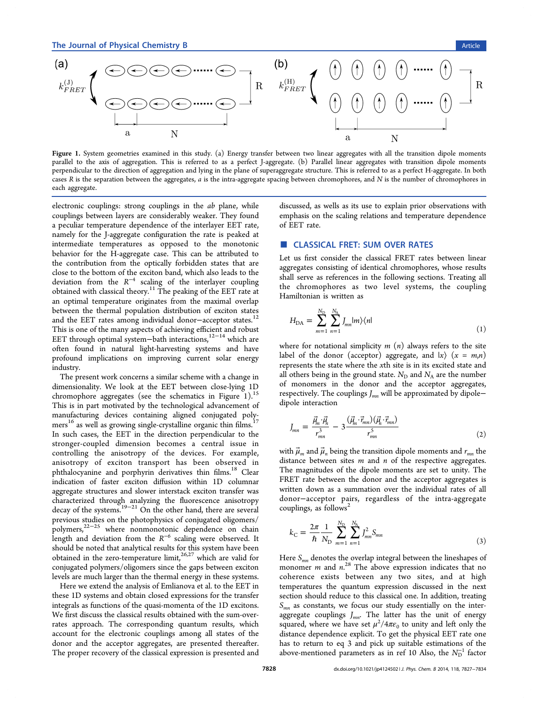<span id="page-1-0"></span>Figure 1. System geometries examined in this study. (a) Energy transfer between two linear aggregates with all the transition dipole moments parallel to the axis of aggregation. This is referred to as a perfect J-aggregate. (b) Parallel linear aggregates with transition dipole moments perpendicular to the direction of aggregation and lying in the plane of superaggregate structure. This is referred to as a perfect H-aggregate. In both cases R is the separation between the aggregates, a is the intra-aggregate spacing between chromophores, and N is the number of chromophores in each aggregate.

electronic couplings: strong couplings in the ab plane, while couplings between layers are considerably weaker. They found a peculiar temperature dependence of the interlayer EET rate, namely for the J-aggregate configuration the rate is peaked at intermediate temperatures as opposed to the monotonic behavior for the H-aggregate case. This can be attributed to the contribution from the optically forbidden states that are close to the bottom of the exciton band, which also leads to the deviation from the  $R^{-4}$  scaling of the interlayer coupling obtained with classical theory.<sup>11</sup> The peaking of the EET rate at an optimal temperature originates from the maximal overlap between the thermal popula[tio](#page-6-0)n distribution of exciton states and the EET rates among individual donor-acceptor states.<sup>12</sup> This is one of the many aspects of achieving efficient and robust EET through optimal system-bath interactions, $12-14$  which [are](#page-6-0) often found in natural light-harvesting systems and have profound implications on improving curren[t](#page-6-0) [sol](#page-6-0)ar energy industry.

The present work concerns a similar scheme with a change in dimensionality. We look at the EET between close-lying 1D chromophore aggregates (see the schematics in Figure 1).<sup>15</sup> This is in part motivated by the technological advancement of manufacturing devices containing aligned conjugated po[ly](#page-6-0)mers<sup>16</sup> as well as growing single-crystalline organic thin films.<sup>17</sup> In such cases, the EET in the direction perpendicular to the stro[nge](#page-6-0)r-coupled dimension becomes a central issue [in](#page-6-0) controlling the anisotropy of the devices. For example, anisotropy of exciton transport has been observed in phthalocyanine and porphyrin derivatives thin films.<sup>18</sup> Clear indication of faster exciton diffusion within 1D columnar aggregate structures and slower interstack exciton tra[nsf](#page-6-0)er was characterized through analyzing the fluorescence anisotropy decay of the systems.<sup>19−21</sup> On the other hand, there are several previous studies on the photophysics of conjugated oligomers/ polym[e](#page-6-0)rs, $2^{2-25}$  where [no](#page-6-0)nmonotonic dependence on chain length and deviation from the  $R^{-6}$  scaling were observed. It should b[e note](#page-7-0)d that analytical results for this system have been obtained in the zero-temperature limit,  $26,27$  which are valid for conjugated polymers/oligomers since the gaps between exciton levels are much larger than the thermal [ener](#page-7-0)gy in these systems.

Here we extend the analysis of Emlianova et al. to the EET in these 1D systems and obtain closed expressions for the transfer integrals as functions of the quasi-momenta of the 1D excitons. We first discuss the classical results obtained with the sum-overrates approach. The corresponding quantum results, which account for the electronic couplings among all states of the donor and the acceptor aggregates, are presented thereafter. The proper recovery of the classical expression is presented and discussed, as wells as its use to explain prior observations with emphasis on the scaling relations and temperature dependence of EET rate.

## ■ CLASSICAL FRET: SUM OVER RATES

Let us first consider the classical FRET rates between linear aggregates consisting of identical chromophores, whose results shall serve as references in the following sections. Treating all the chromophores as two level systems, the coupling Hamiltonian is written as

$$
H_{\rm DA} = \sum_{m=1}^{N_{\rm D}} \sum_{n=1}^{N_{\rm A}} J_{mn} |m\rangle\langle n|
$$
\n(1)

where for notational simplicity  $m(n)$  always refers to the site label of the donor (acceptor) aggregate, and  $|x\rangle$   $(x = m,n)$ represents the state where the xth site is in its excited state and all others being in the ground state.  $N_D$  and  $N_A$  are the number of monomers in the donor and the acceptor aggregates, respectively. The couplings  $J_{mn}$  will be approximated by dipole− dipole interaction

$$
J_{mn} = \frac{\vec{\mu}_m \cdot \vec{\mu}_n}{r_{mn}^3} - 3 \frac{(\vec{\mu}_m \cdot \vec{r}_{mn})(\vec{\mu}_n \cdot \vec{r}_{mn})}{r_{mn}^5}
$$
(2)

with  $\vec{\mu}_m$  and  $\vec{\mu}_n$  being the transition dipole moments and  $r_{mn}$  the distance between sites  $m$  and  $n$  of the respective aggregates. The magnitudes of the dipole moments are set to unity. The FRET rate between the donor and the acceptor aggregates is written down as a summation over the individual rates of all donor−acceptor pairs, regardless of the intra-aggregate couplings, as follows<sup>2</sup>

$$
k_{\rm C} = \frac{2\pi}{\hbar} \frac{1}{N_{\rm D}} \sum_{m=1}^{N_{\rm D}} \sum_{n=1}^{N_{\rm A}} J_{mn}^2 S_{mn}
$$
 (3)

Here  $S_{mn}$  denotes the overlap integral between the lineshapes of monomer *m* and  $n^{28}$  The above expression indicates that no coherence exists between any two sites, and at high temperatures the [qua](#page-7-0)ntum expression discussed in the next section should reduce to this classical one. In addition, treating  $S<sub>mn</sub>$  as constants, we focus our study essentially on the interaggregate couplings  $J_{mn}$ . The latter has the unit of energy squared, where we have set  $\mu^2/4\pi\varepsilon_0$  to unity and left only the distance dependence explicit. To get the physical EET rate one has to return to eq 3 and pick up suitable estimations of the above-mentioned parameters as in ref 10 Also, the  $N_{\text{D}}^{-1}$  factor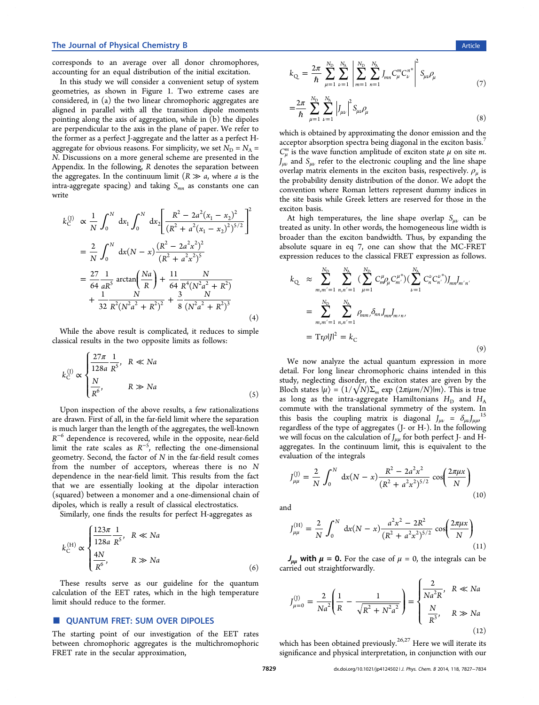<span id="page-2-0"></span>corresponds to an average over all donor chromophores, accounting for an equal distribution of the initial excitation.

In this study we will consider a convenient setup of system geometries, as shown in Figure 1. Two extreme cases are considered, in (a) the two linear chromophoric aggregates are aligned in parallel with all the [tr](#page-1-0)ansition dipole moments pointing along the axis of aggregation, while in (b) the dipoles are perpendicular to the axis in the plane of paper. We refer to the former as a perfect J-aggregate and the latter as a perfect Haggregate for obvious reasons. For simplicity, we set  $N_D = N_A$  = N. Discussions on a more general scheme are presented in the Appendix. In the following, R denotes the separation between the aggregates. In the continuum limit ( $R \gg a$ , where a is the intra-aggregate spacing) and taking  $S_{mn}$  as constants one can write

$$
k_{\text{C}}^{(j)} \propto \frac{1}{N} \int_0^N dx_1 \int_0^N dx_2 \left[ \frac{R^2 - 2a^2(x_1 - x_2)^2}{(R^2 + a^2(x_1 - x_2)^2)^{5/2}} \right]^2
$$
  
\n
$$
= \frac{2}{N} \int_0^N dx (N - x) \frac{(R^2 - 2a^2x^2)^2}{(R^2 + a^2x^2)^5}
$$
  
\n
$$
= \frac{27}{64} \frac{1}{aR^5} \arctan\left(\frac{Na}{R}\right) + \frac{11}{64} \frac{N}{R^4(N^2a^2 + R^2)}
$$
  
\n
$$
+ \frac{1}{32} \frac{N}{R^2(N^2a^2 + R^2)^2} + \frac{3}{8} \frac{N}{(N^2a^2 + R^2)^3}
$$
  
\n(4)

While the above result is complicated, it reduces to simple classical results in the two opposite limits as follows:

$$
k_{\rm C}^{(\rm J)} \propto \begin{cases} \frac{27\pi}{128a} \frac{1}{R^5}, & R \ll Na \\ \frac{N}{R^6}, & R \gg Na \end{cases}
$$
 (5)

Upon inspection of the above results, a few rationalizations are drawn. First of all, in the far-field limit where the separation is much larger than the length of the aggregates, the well-known R<sup>−</sup><sup>6</sup> dependence is recovered, while in the opposite, near-field limit the rate scales as  $R^{-5}$ , reflecting the one-dimensional geometry. Second, the factor of N in the far-field result comes from the number of acceptors, whereas there is no N dependence in the near-field limit. This results from the fact that we are essentially looking at the dipolar interaction (squared) between a monomer and a one-dimensional chain of dipoles, which is really a result of classical electrostatics.

Similarly, one finds the results for perfect H-aggregates as

$$
k_{\mathrm{C}}^{(\mathrm{H})} \propto \begin{cases} \frac{123\pi}{128a} \frac{1}{R^5}, & R \ll Na\\ \frac{4N}{R^6}, & R \gg Na \end{cases}
$$
 (6)

These results serve as our guideline for the quantum calculation of the EET rates, which in the high temperature limit should reduce to the former.

## ■ QUANTUM FRET: SUM OVER DIPOLES

The starting point of our investigation of the EET rates between chromophoric aggregates is the multichromophoric FRET rate in the secular approximation,

$$
k_{\rm Q} = \frac{2\pi}{\hbar} \sum_{\mu=1}^{N_{\rm D}} \sum_{\nu=1}^{N_{\rm A}} \left| \sum_{m=1}^{N_{\rm D}} \sum_{n=1}^{N_{\rm A}} J_{mn} C_{\mu}^{m} C_{\nu}^{n^{*}} \right|^{2} S_{\mu\nu} \rho_{\mu}
$$
\n(7)

$$
=\frac{2\pi}{\hbar}\sum_{\mu=1}^{N_{\rm D}}\sum_{\nu=1}^{N_{\rm A}}\left|J_{\mu\nu}\right|^2S_{\mu\nu}\rho_{\mu}\tag{8}
$$

which is obtained by approximating the donor emission and the acceptor absorption spectra being diagonal in the exciton basis.<sup>7</sup>  $C_{\mu}^{m}$  is the wave function amplitude of exciton state  $\mu$  on site m.  $J_{\mu\nu}$  and  $S_{\mu\nu}$  r[e](#page-6-0)fer to the electronic coupling and the line shape overlap matrix elements in the exciton basis, respectively.  $\rho_u$  is the probability density distribution of the donor. We adopt the convention where Roman letters represent dummy indices in the site basis while Greek letters are reserved for those in the exciton basis.

At high temperatures, the line shape overlap  $S_{\mu\nu}$  can be treated as unity. In other words, the homogeneous line width is broader than the exciton bandwidth. Thus, by expanding the absolute square in eq 7, one can show that the MC-FRET expression reduces to the classical FRET expression as follows.

$$
k_{Q} \approx \sum_{m,m'=1}^{N_{D}} \sum_{n,n'=1}^{N_{A}} (\sum_{\mu=1}^{N_{D}} C_{m}^{\mu} \rho_{\mu} C_{m}^{\mu^{*}}) (\sum_{\nu=1}^{N_{A}} C_{n}^{\nu} C_{n}^{\nu^{*}}) J_{mn} J_{m'n'}
$$
  

$$
= \sum_{m,m'=1}^{N_{D}} \sum_{n,n'=1}^{N_{A}} \rho_{mm} \delta_{nn} J_{mn} J_{m'n}
$$
  

$$
= Tr\rho |J|^{2} = k_{C}
$$
 (9)

We now analyze the actual quantum expression in more detail. For long linear chromophoric chains intended in this study, neglecting disorder, the exciton states are given by the Bloch states  $|\mu\rangle = (1/\sqrt{N})\Sigma_m \exp(2\pi i \mu m/N)|m\rangle$ . This is true as long as the intra-aggregate Hamiltonians  $H_D$  and  $H_A$ commute with the translational symmetry of the system. In this basis the coupling matrix is diagonal  $J_{\mu\nu} = \delta_{\mu\nu} J_{\mu\nu}^{15}$ regardless of the type of aggregates (J- or H-). In the following we will focus on the calculation of  $J_{\mu\mu}$  for both perfect J- and [H](#page-6-0)aggregates. In the continuum limit, this is equivalent to the evaluation of the integrals

$$
J_{\mu\mu}^{(1)} = \frac{2}{N} \int_0^N dx (N - x) \frac{R^2 - 2a^2 x^2}{(R^2 + a^2 x^2)^{5/2}} \cos\left(\frac{2\pi \mu x}{N}\right)
$$
(10)

and

$$
J_{\mu\mu}^{(\text{H})} = \frac{2}{N} \int_0^N \, \mathrm{d}x (N-x) \frac{a^2 x^2 - 2R^2}{(R^2 + a^2 x^2)^{5/2}} \, \cos\left(\frac{2\pi \mu x}{N}\right) \tag{11}
$$

 $J_{\mu\mu}$  with  $\mu = 0$ . For the case of  $\mu = 0$ , the integrals can be carried out straightforwardly.

$$
J_{\mu=0}^{(J)} = \frac{2}{Na^2} \left( \frac{1}{R} - \frac{1}{\sqrt{R^2 + N^2 a^2}} \right) = \begin{cases} \frac{2}{Na^2 R}, & R \ll Na \\ \frac{N}{R^3}, & R \gg Na \end{cases}
$$
(12)

which has been obtained previously.<sup>26,27</sup> Here we will iterate its significance and physical interpretation, in conjunction with our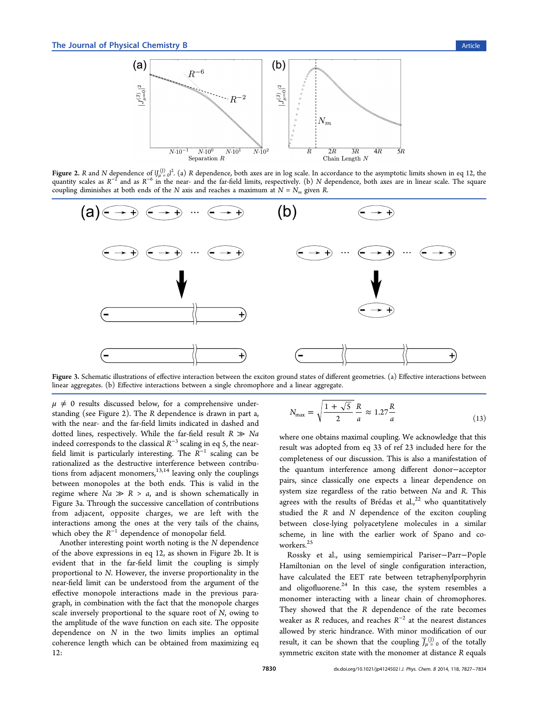<span id="page-3-0"></span>

**Figure 2.** R and N dependence of  $|J_{\mu=0}^{(J)}|^2$ . (a) R dependence, both axes are in log scale. In accordance to the asymptotic limits shown in eq 12, the quantity scales as  $R^{-2}$  and as  $R^{-6}$  in the near- and the far-field limits, respectively. (b) N dependence, both axes are in linear scale. The square coupling diminishes at both ends of the N axis and reaches a maximum at  $N = N_m$  given R.



Figure 3. Schematic illustrations of effective interaction between the exciton ground states of different geometries. (a) Effective interactions between linear aggregates. (b) Effective interactions between a single chromophore and a linear aggregate.

 $\mu \neq 0$  results discussed below, for a comprehensive understanding (see Figure 2). The R dependence is drawn in part a, with the near- and the far-field limits indicated in dashed and dotted lines, respectively. While the far-field result  $R \gg Na$ indeed corresponds to the classical  $R^{-3}$  scaling in eq 5, the nearfield limit is particularly interesting. The  $R^{-1}$  scaling can be rationalized as the destructive interference betwee[n](#page-2-0) contributions from adjacent monomers, $13,14$  leaving only the couplings between monopoles at the both ends. This is valid in the regime where  $Na \gg R > a$ , [and](#page-6-0) is shown schematically in Figure 3a. Through the successive cancellation of contributions from adjacent, opposite charges, we are left with the interactions among the ones at the very tails of the chains, which obey the  $R^{-1}$  dependence of monopolar field.

Another interesting point worth noting is the N dependence of the above expressions in eq 12, as shown in Figure 2b. It is evident that in the far-field limit the coupling is simply proportional to N. However, t[he i](#page-2-0)nverse proportionality in the near-field limit can be understood from the argument of the effective monopole interactions made in the previous paragraph, in combination with the fact that the monopole charges scale inversely proportional to the square root of N, owing to the amplitude of the wave function on each site. The opposite dependence on N in the two limits implies an optimal coherence length which can be obtained from maximizing eq 12:

$$
N_{\text{max}} = \sqrt{\frac{1 + \sqrt{5}}{2}} \frac{R}{a} \approx 1.27 \frac{R}{a}
$$
 (13)

where one obtains maximal coupling. We acknowledge that this result was adopted from eq 33 of ref 23 included here for the completeness of our discussion. This is also a manifestation of the quantum interference among di[ff](#page-7-0)erent donor−acceptor pairs, since classically one expects a linear dependence on system size regardless of the ratio between Na and R. This agrees with the results of Brédas et al., $^{22}$  who quantitatively studied the R and N dependence of the exciton coupling between close-lying polyacetylene mo[lec](#page-7-0)ules in a similar scheme, in line with the earlier work of Spano and coworkers.<sup>25</sup>

Rossky et al., using semiempirical Pariser−Parr−Pople Hamilto[nia](#page-7-0)n on the level of single configuration interaction, have calculated the EET rate between tetraphenylporphyrin and oligofluorene.<sup>24</sup> In this case, the system resembles a monomer interacting with a linear chain of chromophores. They showed tha[t](#page-7-0) the R dependence of the rate becomes weaker as R reduces, and reaches  $R^{-2}$  at the nearest distances allowed by steric hindrance. With minor modification of our result, it can be shown that the coupling  $\overline{J}_{\mu}^{(J)}{}_{\!\scriptscriptstyle\rm D}$  of the totally symmetric exciton state with the monomer at distance R equals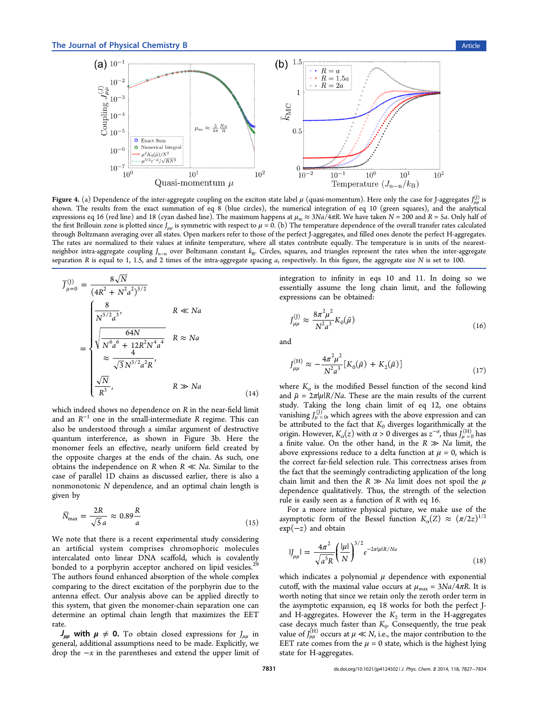<span id="page-4-0"></span>

**Figure 4.** (a) Dependence of the inter-aggregate coupling on the exciton state label  $\mu$  (quasi-momentum). Here only the case for J-aggregates  $J_{\mu\mu}^{({\rm J})}$  is shown. The results from the exact summation of eq 8 (blue circles), the numerical integration of eq 10 (green squares), and the analytical expressions eq 16 (red line) and 18 (cyan dashed line). The maximum happens at  $\mu_m \approx 3Na/4\pi R$ . We have taken  $N = 200$  and  $R = 5a$ . Only half of the first Brillouin zone is plotted since  $J_{\mu\mu}$  is symmetric with respect to  $\mu$  = 0. (b) The temperature dependence of the overall transfer rates calculated through Boltzmann averaging over all states. Open mark[er](#page-2-0)s refer to those of the perfect J-aggregates, and fill[ed](#page-2-0) [o](#page-2-0)nes denote the perfect H-aggregates. The rates are normalized to their values at infinite temperature, where all states contribute equally. The temperature is in units of the nearestneighbor intra-aggregate coupling  $J_{n-n}$  over Boltzmann constant  $k_B$ . Circles, squares, and triangles represent the rates when the inter-aggregate separation R is equal to 1, 1.5, and 2 times of the intra-aggregate spacing a, respectively. In this figure, the aggregate size N is set to 100.

$$
\overline{J}_{\mu=0}^{(J)} = \frac{8\sqrt{N}}{(4R^2 + N^2a^2)^{3/2}}
$$
\n
$$
= \begin{cases}\n\frac{8}{N^{5/2}a^3}, & R \ll Na \\
\sqrt{\frac{64N}{N^6a^6 + 12R^2N^4a^4}} & R \approx Na \\
\approx \frac{4}{\sqrt{3}N^{3/2}a^2R}, & R \gg Na \\
\frac{\sqrt{N}}{R^3}, & R \gg Na\n\end{cases}
$$
\n(14)

which indeed shows no dependence on R in the near-field limit and an  $R^{-1}$  one in the small-intermediate R regime. This can also be understood through a similar argument of destructive quantum interference, as shown in Figure 3b. Here the monomer feels an effective, nearly uniform field created by the opposite charges at the ends of the chain. As such, one obtains the independence on R when  $R \ll Na$ . Similar to the case of parallel 1D chains as discussed earlier, there is also a nonmonotonic N dependence, and an optimal chain length is given by

$$
\overline{N}_{\text{max}} = \frac{2R}{\sqrt{5}a} \approx 0.89 \frac{R}{a} \tag{15}
$$

We note that there is a recent experimental study considering an artificial system comprises chromophoric molecules intercalated onto linear DNA scaffold, which is covalently bonded to a porphyrin acceptor anchored on lipid vesicles.<sup>29</sup> The authors found enhanced absorption of the whole complex comparing to the direct excitation of the porphyrin due to t[he](#page-7-0) antenna effect. Our analysis above can be applied directly to this system, that given the monomer-chain separation one can determine an optimal chain length that maximizes the EET rate.

 $J_{\mu\mu}$  with  $\mu \neq 0$ . To obtain closed expressions for  $J_{\mu\mu}$  in general, additional assumptions need to be made. Explicitly, we drop the  $-x$  in the parentheses and extend the upper limit of integration to infinity in eqs 10 and 11. In doing so we essentially assume the long chain limit, and the following expressions can be obtained:

$$
J_{\mu\mu}^{(1)} \approx \frac{8\pi^2\mu^2}{N^2a^3} K_0(\tilde{\mu})
$$
\n(16)

and

$$
J_{\mu\mu}^{(\text{H})} \approx -\frac{4\pi^2 \mu^2}{N^2 a^3} [K_0(\tilde{\mu}) + K_2(\tilde{\mu})] \tag{17}
$$

where  $K_a$  is the modified Bessel function of the second kind and  $\tilde{\mu} = 2\pi |\mu|R/Na$ . These are the main results of the current study. Taking the long chain limit of eq 12, one obtains vanishing  $J_{\mu=0}^{(1)}$ , which agrees with the above expression and can be attributed to the fact that  $K_0$  diverges loga[rith](#page-2-0)mically at the origin. However,  $K_{\alpha}(z)$  with  $\alpha > 0$  diverges as  $z^{-\alpha}$ , thus  $\int_{\mu=0}^{(H)}$  has a finite value. On the other hand, in the  $R \gg Na$  limit, the above expressions reduce to a delta function at  $\mu = 0$ , which is the correct far-field selection rule. This correctness arises from the fact that the seemingly contradicting application of the long chain limit and then the  $R \gg Na$  limit does not spoil the  $\mu$ dependence qualitatively. Thus, the strength of the selection rule is easily seen as a function of R with eq 16.

For a more intuitive physical picture, we make use of the asymptotic form of the Bessel function  $K_{\alpha}(Z) \approx (\pi/2z)^{1/2}$ exp(−z) and obtain

$$
|J_{\mu\mu}| = \frac{4\pi^2}{\sqrt{a^5 R}} \left(\frac{|\mu|}{N}\right)^{3/2} e^{-2\pi|\mu|R/Na}
$$
\n(18)

which indicates a polynomial  $\mu$  dependence with exponential cutoff, with the maximal value occurs at  $\mu_{\text{max}} = 3Na/4\pi R$ . It is worth noting that since we retain only the zeroth order term in the asymptotic expansion, eq 18 works for both the perfect Jand H-aggregates. However the  $K_2$  term in the H-aggregates case decays much faster than  $K_0$ . Consequently, the true peak value of  $J_{\mu\mu}^{(H)}$  occurs at  $\mu \ll N$ , i.e., the major contribution to the EET rate comes from the  $\mu = 0$  state, which is the highest lying state for H-aggregates.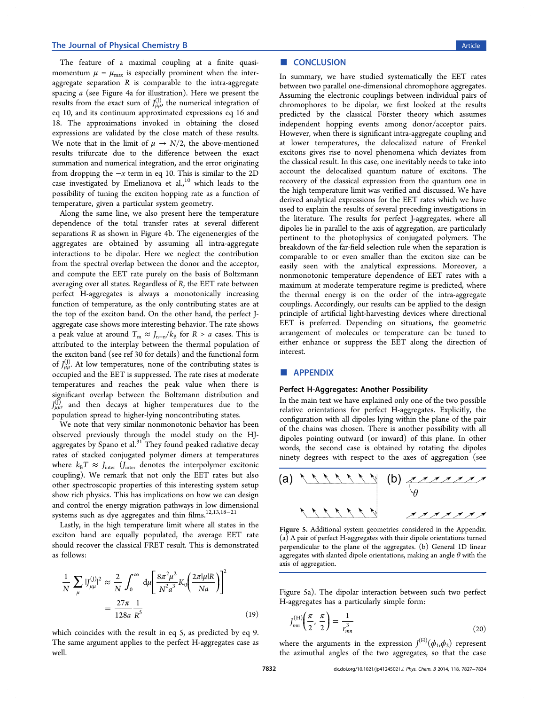<span id="page-5-0"></span>The feature of a maximal coupling at a finite quasimomentum  $\mu = \mu_{\text{max}}$  is especially prominent when the interaggregate separation R is comparable to the intra-aggregate spacing a (see Figure 4a for illustration). Here we present the results from the exact sum of  $J_{\mu\nu}^{(J)}$ , the numerical integration of eq 10, and its continu[um](#page-4-0) approximated expressions eq 16 and 18. The approximations invoked in obtaining the closed ex[pres](#page-2-0)sions are validated by the close match of these [res](#page-4-0)ults. [We](#page-4-0) note that in the limit of  $\mu \rightarrow N/2$ , the above-mentioned results trifurcate due to the difference between the exact summation and numerical integration, and the error originating from dropping the −x term in eq 10. This is similar to the 2D case investigated by Emelianova et al., $^{10}$  which leads to the possibility of tuning the exciton h[op](#page-2-0)ping rate as a function of temperature, given a particular system [geo](#page-6-0)metry.

Along the same line, we also present here the temperature dependence of the total transfer rates at several different separations R as shown in Figure 4b. The eigenenergies of the aggregates are obtained by assuming all intra-aggregate interactions to be dipolar. Here [w](#page-4-0)e neglect the contribution from the spectral overlap between the donor and the acceptor, and compute the EET rate purely on the basis of Boltzmann averaging over all states. Regardless of R, the EET rate between perfect H-aggregates is always a monotonically increasing function of temperature, as the only contributing states are at the top of the exciton band. On the other hand, the perfect Jaggregate case shows more interesting behavior. The rate shows a peak value at around  $T_m \approx J_{n-n}/k_B$  for  $R > a$  cases. This is attributed to the interplay between the thermal population of the exciton band (see ref 30 for details) and the functional form of  $J_{\mu\mu}^{(1)}$ . At low temperatures, none of the contributing states is occupied and the EET is [sup](#page-7-0)pressed. The rate rises at moderate temperatures and reaches the peak value when there is significant overlap between the Boltzmann distribution and  $J_{\mu\mu}^{(\vec{j})}$  and then decays at higher temperatures due to the population spread to higher-lying noncontributing states.

We note that very similar nonmonotonic behavior has been observed previously through the model study on the HJaggregates by Spano et al.<sup>31</sup> They found peaked radiative decay rates of stacked conjugated polymer dimers at temperatures where  $k_{\text{B}}T \approx J_{\text{inter}}$  (*J*<sub>inter</sub> [d](#page-7-0)enotes the interpolymer excitonic coupling). We remark that not only the EET rates but also other spectroscopic properties of this interesting system setup show rich physics. This has implications on how we can design and control the energy migration pathways in low dimensional systems such as dye aggregates and thin films.<sup>12,13,18−21</sup>

Lastly, in the high temperature limit where all states in the exciton band are equally populated, the av[erage](#page-6-0) [EET](#page-6-0) rate should recover the classical FRET result. This is demonstrated as follows:

$$
\frac{1}{N} \sum_{\mu} |J_{\mu\mu}^{(J)}|^2 \approx \frac{2}{N} \int_0^{\infty} d\mu \left[ \frac{8\pi^2 \mu^2}{N^2 a^3} K_0 \left( \frac{2\pi |\mu R}{N a} \right) \right]^2
$$

$$
= \frac{27\pi}{128a} \frac{1}{R^5}
$$
(19)

which coincides with the result in eq 5, as predicted by eq 9. The same argument applies to the perfect H-aggregates case as well.

# ■ CONCLUSION

In summary, we have studied systematically the EET rates between two parallel one-dimensional chromophore aggregates. Assuming the electronic couplings between individual pairs of chromophores to be dipolar, we first looked at the results predicted by the classical Förster theory which assumes independent hopping events among donor/acceptor pairs. However, when there is significant intra-aggregate coupling and at lower temperatures, the delocalized nature of Frenkel excitons gives rise to novel phenomena which deviates from the classical result. In this case, one inevitably needs to take into account the delocalized quantum nature of excitons. The recovery of the classical expression from the quantum one in the high temperature limit was verified and discussed. We have derived analytical expressions for the EET rates which we have used to explain the results of several preceding investigations in the literature. The results for perfect J-aggregates, where all dipoles lie in parallel to the axis of aggregation, are particularly pertinent to the photophysics of conjugated polymers. The breakdown of the far-field selection rule when the separation is comparable to or even smaller than the exciton size can be easily seen with the analytical expressions. Moreover, a nonmonotonic temperature dependence of EET rates with a maximum at moderate temperature regime is predicted, where the thermal energy is on the order of the intra-aggregate couplings. Accordingly, our results can be applied to the design principle of artificial light-harvesting devices where directional EET is preferred. Depending on situations, the geometric arrangement of molecules or temperature can be tuned to either enhance or suppress the EET along the direction of interest.

## ■ APPENDIX

#### Perfect H-Aggregates: Another Possibility

In the main text we have explained only one of the two possible relative orientations for perfect H-aggregates. Explicitly, the configuration with all dipoles lying within the plane of the pair of the chains was chosen. There is another possibility with all dipoles pointing outward (or inward) of this plane. In other words, the second case is obtained by rotating the dipoles ninety degrees with respect to the axes of aggregation (see

Figure 5. Additional system geometries considered in the Appendix. (a) A pair of perfect H-aggregates with their dipole orientations turned perpendicular to the plane of the aggregates. (b) General 1D linear aggregates with slanted dipole orientations, making an angle  $\theta$  with the axis of aggregation.

Figure 5a). The dipolar interaction between such two perfect H-aggregates has a particularly simple form:

$$
J_{mn}^{(H)}\left(\frac{\pi}{2},\frac{\pi}{2}\right) = \frac{1}{r_{mn}^3}
$$
 (20)

where the arguments in the expression  $\mathit{J}^{(\mathrm{H})}(\phi_{1},\phi_{2})$  represent the azimuthal angles of the two aggregates, so that the case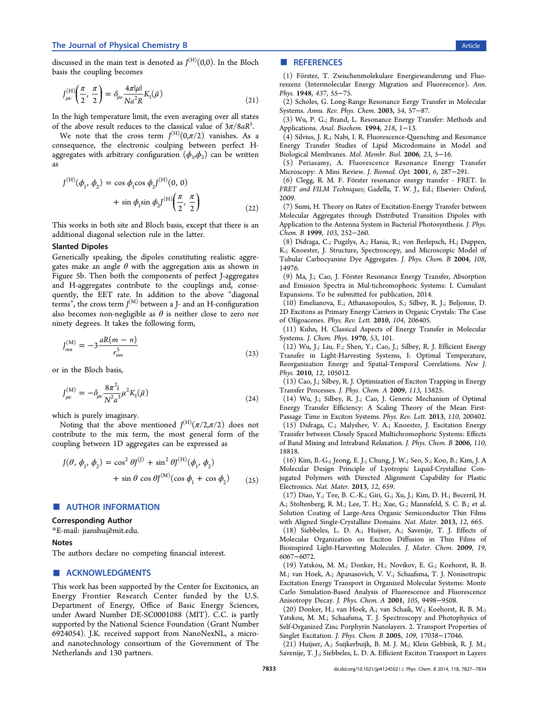<span id="page-6-0"></span>discussed in the main text is denoted as  $\mathit{f}^{\text{(H)}}(0,0).$  In the Bloch basis the coupling becomes

$$
J_{\mu\nu}^{(\text{H})} \left( \frac{\pi}{2}, \frac{\pi}{2} \right) = \delta_{\mu\nu} \frac{4\pi |\mu|}{N a^2 R} K_1(\tilde{\mu})
$$
\n(21)

In the high temperature limit, the even averaging over all states of the above result reduces to the classical value of  $3\pi/8aR^5$ . .

We note that the cross term  $J^{(\mathrm{H})}(0,\pi/2)$  vanishes. As a consequence, the electronic coulping between perfect Haggregates with arbitrary configuration  $(\phi_1, \phi_2)$  can be written as

$$
J^{(H)}(\phi_1, \phi_2) = \cos \phi_1 \cos \phi_2 J^{(H)}(0, 0) + \sin \phi_1 \sin \phi_2 J^{(H)}\left(\frac{\pi}{2}, \frac{\pi}{2}\right)
$$
(22)

This works in both site and Bloch basis, except that there is an additional diagonal selection rule in the latter.

#### Slanted Dipoles

Generically speaking, the dipoles constituting realistic aggregates make an angle  $\theta$  with the aggregation axis as shown in Figure 5b. Then both the components of perfect J-aggregates and H-aggregates contribute to the couplings and, consequentl[y,](#page-5-0) the EET rate. In addition to the above "diagonal terms", the cross term  $J^{(M)}$  between a J- and an H-configuration also becomes non-negligible as  $\theta$  is neither close to zero nor ninety degrees. It takes the following form,

$$
J_{mn}^{(M)} = -3 \frac{aR(m-n)}{r_{mn}^5}
$$
 (23)

or in the Bloch basis,

$$
J_{\mu\nu}^{(\text{M})} = -\delta_{\mu\nu} \frac{8\pi^2 i}{N^2 a^3} \mu^2 K_1(\tilde{\mu})
$$
\n(24)

which is purely imaginary.

Noting that the above mentioned  $J^{(H)}(\pi/2,\pi/2)$  does not contribute to the mix term, the most general form of the coupling between 1D aggregates can be expressed as

$$
J(\theta, \phi_1, \phi_2) = \cos^2 \theta J^{(1)} + \sin^2 \theta J^{(H)}(\phi_1, \phi_2)
$$
  
+ 
$$
\sin \theta \cos \theta J^{(M)}(\cos \phi_1 + \cos \phi_2)
$$
 (25)

## ■ AUTHOR INFORMATION

#### Corresponding Author

\*E-mail: jianshu@mit.edu.

### Notes

The auth[ors declare no co](mailto:jianshu@mit.edu)mpeting financial interest.

## ■ ACKNOWLEDGMENTS

This work has been supported by the Center for Excitonics, an Energy Frontier Research Center funded by the U.S. Department of Energy, Office of Basic Energy Sciences, under Award Number DE-SC0001088 (MIT). C.C. is partly supported by the National Science Foundation (Grant Number 6924054). J.K. received support from NanoNexNL, a microand nanotechnology consortium of the Government of The Netherlands and 130 partners.

# ■ REFERENCES

(1) Förster, T. Zwischenmolekulare Energiewanderung und Fluoreszenz (Intermolecular Energy Migration and Fluorescence). Ann. Phys. 1948, 437, 55−75.

(2) Scholes, G. Long-Range Resonance Eergy Transfer in Molecular Systems. Annu. Rev. Phys. Chem. 2003, 54, 57−87.

(3) Wu, P. G.; Brand, L. Resonance Energy Transfer: Methods and Applications. Anal. Biochem. 1994, 218, 1−13.

(4) Silvius, J. R.; Nabi, I. R. Fluorescence-Quenching and Resonance Energy Transfer Studies of Lipid Microdomains in Model and Biological Membranes. Mol. Membr. Biol. 2006, 23, 5−16.

(5) Periasamy, A. Fluorescence Resonance Energy Transfer Microscopy: A Mini Review. J. Biomed. Opt. 2001, 6, 287−291.

(6) Clegg, R. M. F. Förster resonance energy transfer - FRET. In FRET and FILM Techniques; Gadella, T. W. J., Ed.; Elsevier: Oxford, 2009.

(7) Sumi, H. Theory on Rates of Excitation-Energy Transfer between Molecular Aggregates through Distributed Transition Dipoles with Application to the Antenna System in Bacterial Photosynthesis. J. Phys. Chem. B 1999, 103, 252−260.

(8) Didraga, C.; Pugzlys, A.; Hania, R.; von Berlepsch, H.; Duppen, K.; Knoester, J. Structure, Spectroscopy, and Microscopic Model of Tubular Carbocyanine Dye Aggregates. J. Phys. Chem. B 2004, 108, 14976.

(9) Ma, J.; Cao, J. Förster Resonance Energy Transfer, Absorption and Emission Spectra in Mul-tichromophoric Systems: I. Cumulant Expansions. To be submitted for publication, 2014.

(10) Emelianova, E.; Athanasopoulos, S.; Silbey, R. J.; Beljonne, D. 2D Excitons as Primary Energy Carriers in Organic Crystals: The Case of Oligoacenes. Phys. Rev. Lett. 2010, 104, 206405.

(11) Kuhn, H. Classical Aspects of Energy Transfer in Molecular Systems. J. Chem. Phys. 1970, 53, 101.

(12) Wu, J.; Liu, F.; Shen, Y.; Cao, J.; Silbey, R. J. Efficient Energy Transfer in Light-Harvesting Systems, I: Optimal Temperature, Reorganization Energy and Spatial-Temporal Correlations. New J. Phys. 2010, 12, 105012.

(13) Cao, J.; Silbey, R. J. Optimization of Exciton Trapping in Energy Transfer Processes. J. Phys. Chem. A 2009, 113, 13825.

(14) Wu, J.; Silbey, R. J.; Cao, J. Generic Mechanism of Optimal Energy Transfer Efficiency: A Scaling Theory of the Mean First-Passage Time in Exciton Systems. Phys. Rev. Lett. 2013, 110, 200402. (15) Didraga, C.; Malyshev, V. A.; Knoester, J. Excitation Energy Transfer between Closely Spaced Multichromophoric Systems: Effects of Band Mixing and Intraband Relaxation. J. Phys. Chem. B 2006, 110, 18818.

(16) Kim, B.-G.; Jeong, E. J.; Chung, J. W.; Seo, S.; Koo, B.; Kim, J. A Molecular Design Principle of Lyotropic Liquid-Crystalline Conjugated Polymers with Directed Alignment Capability for Plastic Electronics. Nat. Mater. 2013, 12, 659.

(17) Diao, Y.; Tee, B. C.-K.; Giri, G.; Xu, J.; Kim, D. H.; Becerril, H. A.; Stoltenberg, R. M.; Lee, T. H.; Xue, G.; Mannsfeld, S. C. B.; et al. Solution Coating of Large-Area Organic Semiconductor Thin Films with Aligned Single-Crystalline Domains. Nat. Mater. 2013, 12, 665.

(18) Siebbeles, L. D. A.; Huijser, A.; Savenije, T. J. Effects of Molecular Organization on Exciton Diffusion in Thin Films of Bioinspired Light-Harvesting Molecules. J. Mater. Chem. 2009, 19, 6067−6072.

(19) Yatskou, M. M.; Donker, H.; Novikov, E. G.; Koehorst, R. B. M.; van Hoek, A.; Apanasovich, V. V.; Schaafsma, T. J. Nonisotropic Excitation Energy Transport in Organized Molecular Systems: Monte Carlo Simulation-Based Analysis of Fluorescence and Fluorescence Anisotropy Decay. J. Phys. Chem. A 2001, 105, 9498−9508.

(20) Donker, H.; van Hoek, A.; van Schaik, W.; Koehorst, R. B. M.; Yatskou, M. M.; Schaafsma, T. J. Spectroscopy and Photophysics of Self-Organized Zinc Porphyrin Nanolayers. 2. Transport Properties of Singlet Excitation. J. Phys. Chem. B 2005, 109, 17038−17046.

(21) Huijser, A.; Suijkerbuijk, B. M. J. M.; Klein Gebbink, R. J. M.; Savenije, T. J.; Siebbeles, L. D. A. Efficient Exciton Transport in Layers